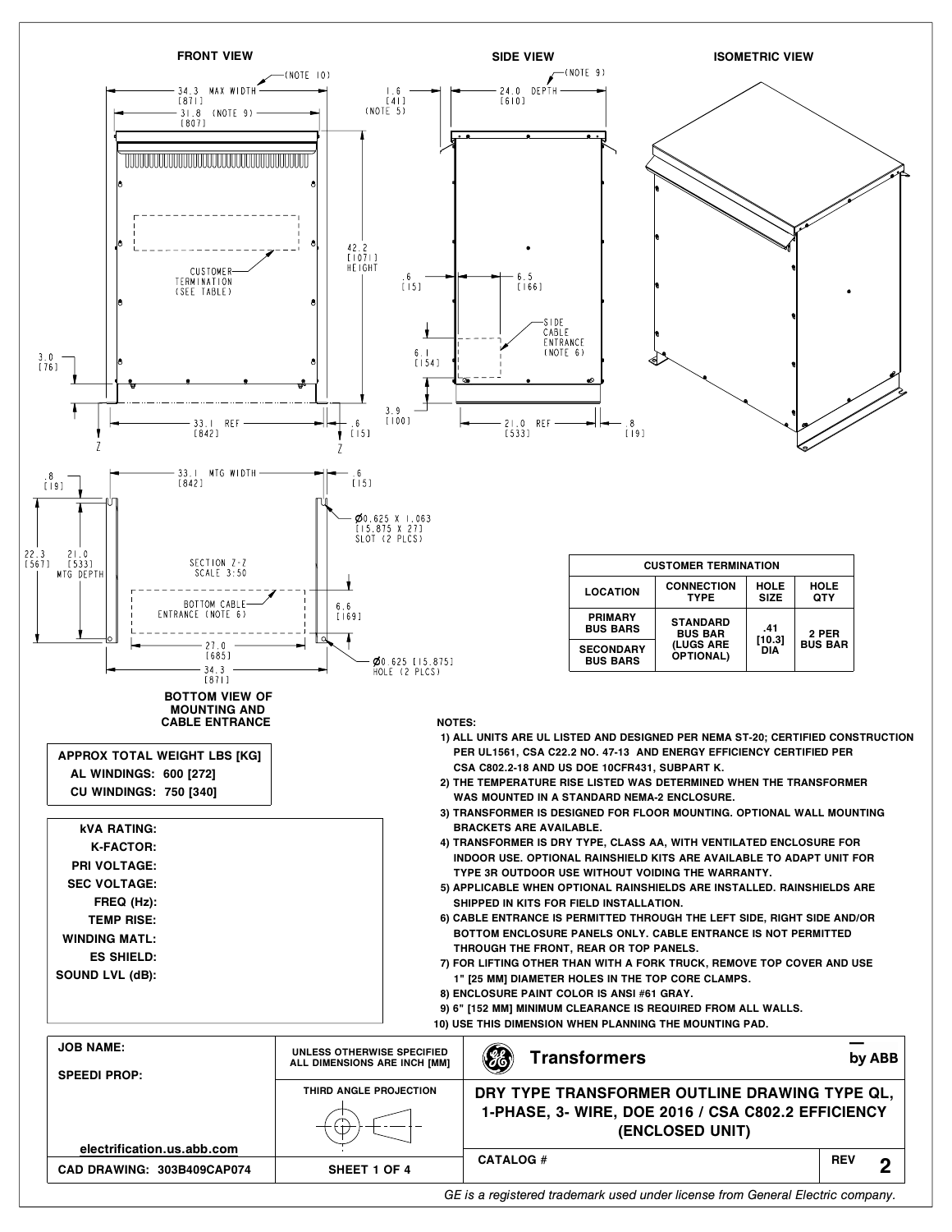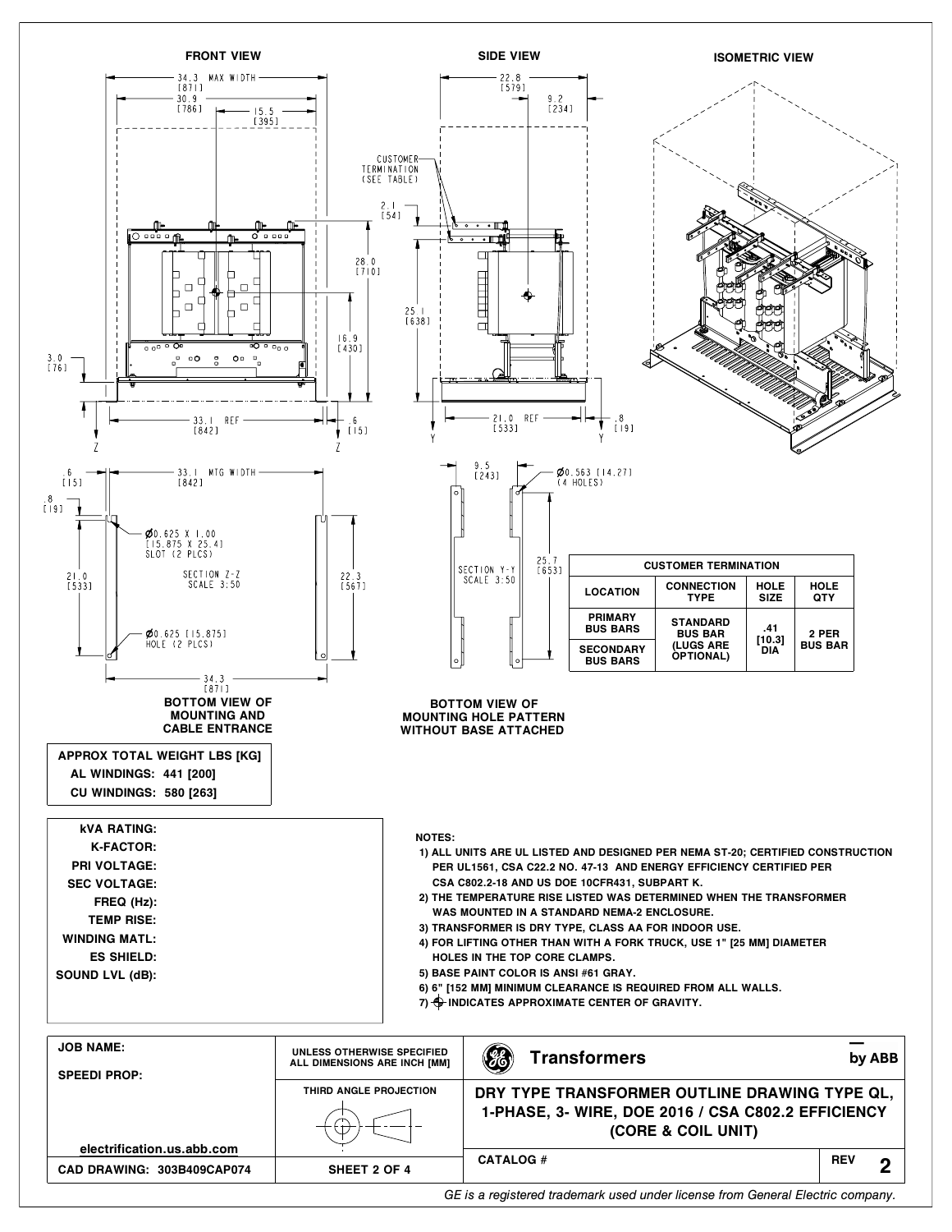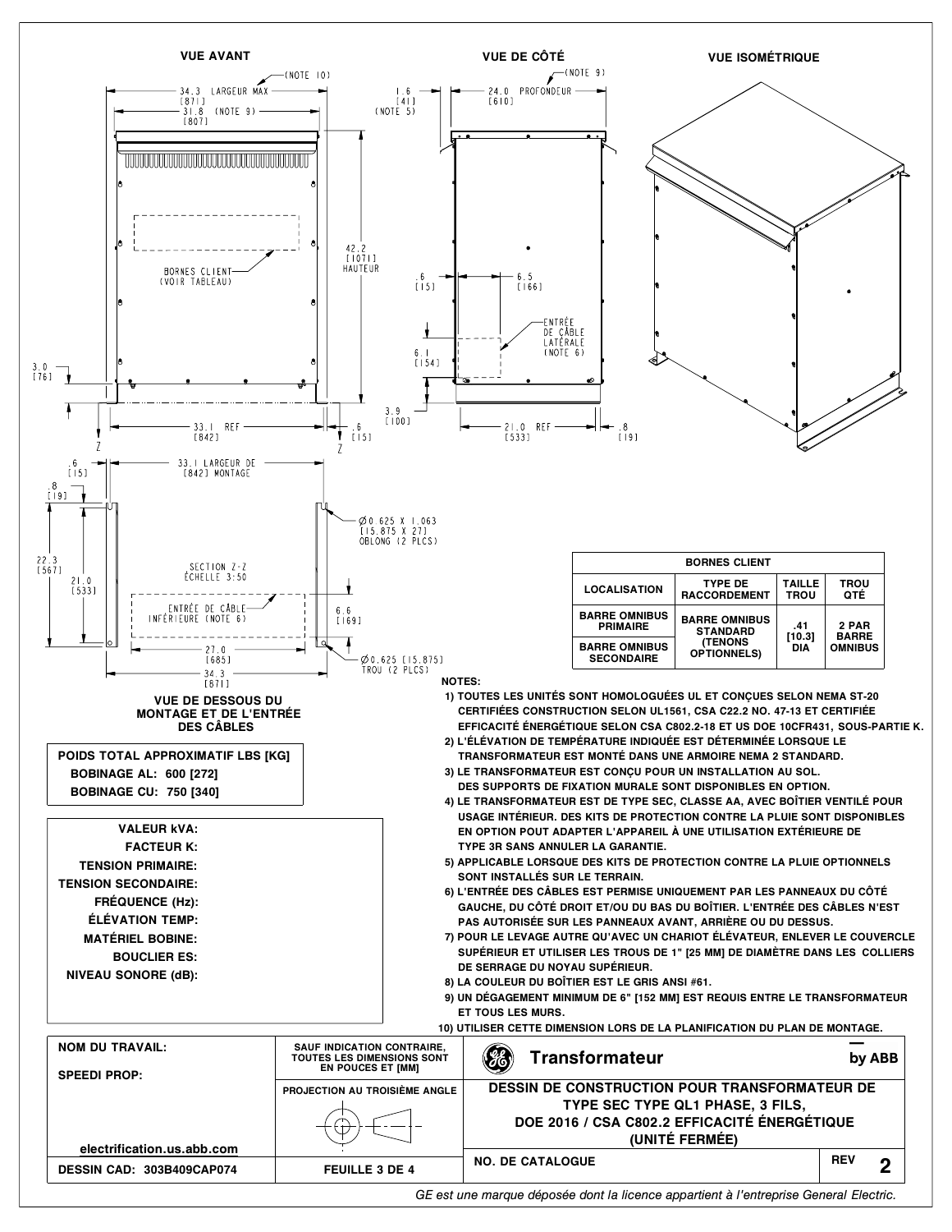

*GE est une marque déposée dont la licence appartient à l'entreprise General Electric.*